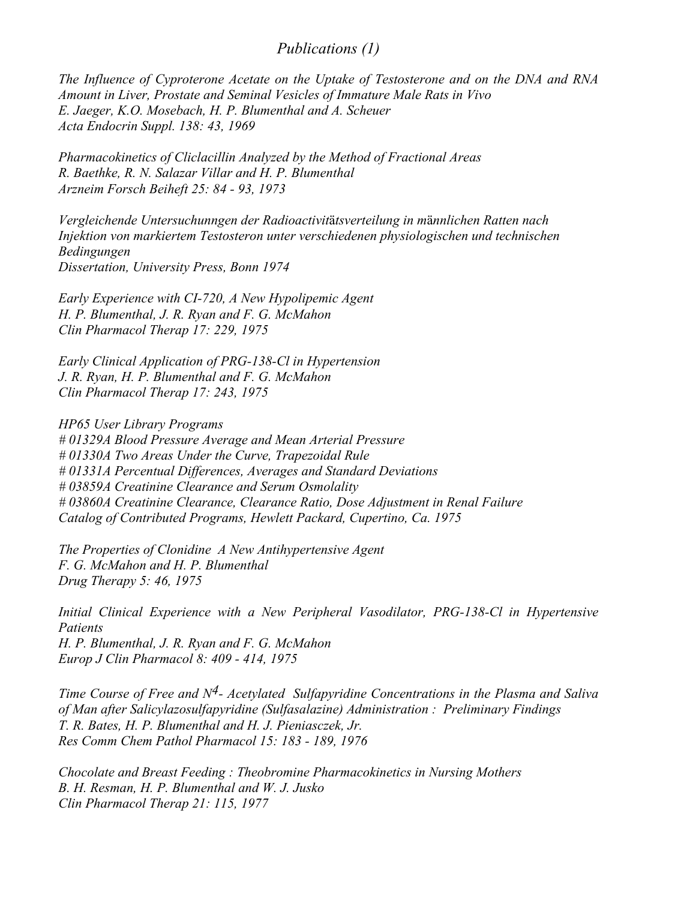#### *Publications (1)*

*The Influence of Cyproterone Acetate on the Uptake of Testosterone and on the DNA and RNA Amount in Liver, Prostate and Seminal Vesicles of Immature Male Rats in Vivo E. Jaeger, K.O. Mosebach, H. P. Blumenthal and A. Scheuer Acta Endocrin Suppl. 138: 43, 1969*

*Pharmacokinetics of Cliclacillin Analyzed by the Method of Fractional Areas R. Baethke, R. N. Salazar Villar and H. P. Blumenthal Arzneim Forsch Beiheft 25: 84 - 93, 1973*

*Vergleichende Untersuchunngen der Radioactivit*ä*tsverteilung in m*ä*nnlichen Ratten nach Injektion von markiertem Testosteron unter verschiedenen physiologischen und technischen Bedingungen Dissertation, University Press, Bonn 1974*

*Early Experience with CI-720, A New Hypolipemic Agent H. P. Blumenthal, J. R. Ryan and F. G. McMahon Clin Pharmacol Therap 17: 229, 1975*

*Early Clinical Application of PRG-138-Cl in Hypertension J. R. Ryan, H. P. Blumenthal and F. G. McMahon Clin Pharmacol Therap 17: 243, 1975*

*HP65 User Library Programs # 01329A Blood Pressure Average and Mean Arterial Pressure # 01330A Two Areas Under the Curve, Trapezoidal Rule # 01331A Percentual Differences, Averages and Standard Deviations # 03859A Creatinine Clearance and Serum Osmolality # 03860A Creatinine Clearance, Clearance Ratio, Dose Adjustment in Renal Failure Catalog of Contributed Programs, Hewlett Packard, Cupertino, Ca. 1975*

*The Properties of Clonidine A New Antihypertensive Agent F. G. McMahon and H. P. Blumenthal Drug Therapy 5: 46, 1975*

*Initial Clinical Experience with a New Peripheral Vasodilator, PRG-138-Cl in Hypertensive Patients H. P. Blumenthal, J. R. Ryan and F. G. McMahon Europ J Clin Pharmacol 8: 409 - 414, 1975*

*Time Course of Free and N4- Acetylated Sulfapyridine Concentrations in the Plasma and Saliva of Man after Salicylazosulfapyridine (Sulfasalazine) Administration : Preliminary Findings T. R. Bates, H. P. Blumenthal and H. J. Pieniasczek, Jr. Res Comm Chem Pathol Pharmacol 15: 183 - 189, 1976*

*Chocolate and Breast Feeding : Theobromine Pharmacokinetics in Nursing Mothers B. H. Resman, H. P. Blumenthal and W. J. Jusko Clin Pharmacol Therap 21: 115, 1977*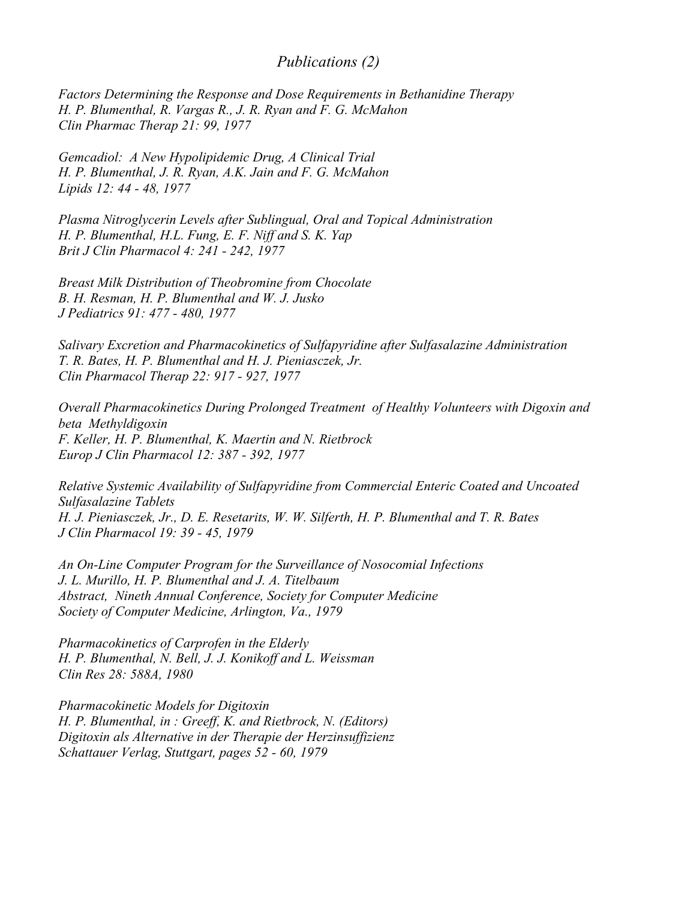### *Publications (2)*

*Factors Determining the Response and Dose Requirements in Bethanidine Therapy H. P. Blumenthal, R. Vargas R., J. R. Ryan and F. G. McMahon Clin Pharmac Therap 21: 99, 1977*

*Gemcadiol: A New Hypolipidemic Drug, A Clinical Trial H. P. Blumenthal, J. R. Ryan, A.K. Jain and F. G. McMahon Lipids 12: 44 - 48, 1977*

*Plasma Nitroglycerin Levels after Sublingual, Oral and Topical Administration H. P. Blumenthal, H.L. Fung, E. F. Niff and S. K. Yap Brit J Clin Pharmacol 4: 241 - 242, 1977*

*Breast Milk Distribution of Theobromine from Chocolate B. H. Resman, H. P. Blumenthal and W. J. Jusko J Pediatrics 91: 477 - 480, 1977*

*Salivary Excretion and Pharmacokinetics of Sulfapyridine after Sulfasalazine Administration T. R. Bates, H. P. Blumenthal and H. J. Pieniasczek, Jr. Clin Pharmacol Therap 22: 917 - 927, 1977*

*Overall Pharmacokinetics During Prolonged Treatment of Healthy Volunteers with Digoxin and beta Methyldigoxin F. Keller, H. P. Blumenthal, K. Maertin and N. Rietbrock Europ J Clin Pharmacol 12: 387 - 392, 1977*

*Relative Systemic Availability of Sulfapyridine from Commercial Enteric Coated and Uncoated Sulfasalazine Tablets H. J. Pieniasczek, Jr., D. E. Resetarits, W. W. Silferth, H. P. Blumenthal and T. R. Bates J Clin Pharmacol 19: 39 - 45, 1979*

*An On-Line Computer Program for the Surveillance of Nosocomial Infections J. L. Murillo, H. P. Blumenthal and J. A. Titelbaum Abstract, Nineth Annual Conference, Society for Computer Medicine Society of Computer Medicine, Arlington, Va., 1979*

*Pharmacokinetics of Carprofen in the Elderly H. P. Blumenthal, N. Bell, J. J. Konikoff and L. Weissman Clin Res 28: 588A, 1980*

*Pharmacokinetic Models for Digitoxin H. P. Blumenthal, in : Greeff, K. and Rietbrock, N. (Editors) Digitoxin als Alternative in der Therapie der Herzinsuffizienz Schattauer Verlag, Stuttgart, pages 52 - 60, 1979*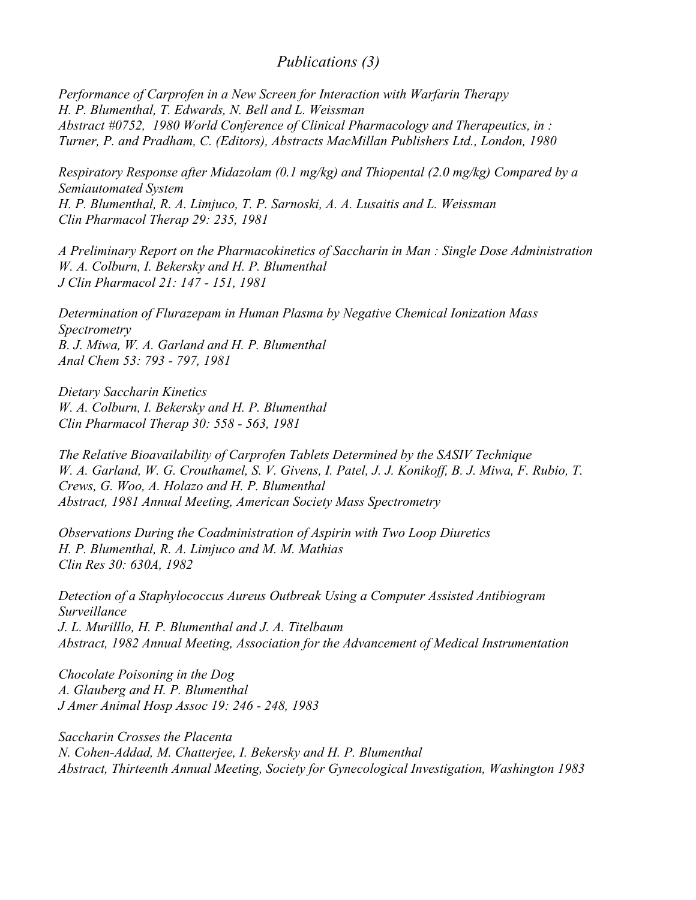# *Publications (3)*

*Performance of Carprofen in a New Screen for Interaction with Warfarin Therapy H. P. Blumenthal, T. Edwards, N. Bell and L. Weissman Abstract #0752, 1980 World Conference of Clinical Pharmacology and Therapeutics, in : Turner, P. and Pradham, C. (Editors), Abstracts MacMillan Publishers Ltd., London, 1980*

*Respiratory Response after Midazolam (0.1 mg/kg) and Thiopental (2.0 mg/kg) Compared by a Semiautomated System H. P. Blumenthal, R. A. Limjuco, T. P. Sarnoski, A. A. Lusaitis and L. Weissman Clin Pharmacol Therap 29: 235, 1981*

*A Preliminary Report on the Pharmacokinetics of Saccharin in Man : Single Dose Administration W. A. Colburn, I. Bekersky and H. P. Blumenthal J Clin Pharmacol 21: 147 - 151, 1981*

*Determination of Flurazepam in Human Plasma by Negative Chemical Ionization Mass Spectrometry B. J. Miwa, W. A. Garland and H. P. Blumenthal Anal Chem 53: 793 - 797, 1981*

*Dietary Saccharin Kinetics W. A. Colburn, I. Bekersky and H. P. Blumenthal Clin Pharmacol Therap 30: 558 - 563, 1981*

*The Relative Bioavailability of Carprofen Tablets Determined by the SASIV Technique W. A. Garland, W. G. Crouthamel, S. V. Givens, I. Patel, J. J. Konikoff, B. J. Miwa, F. Rubio, T. Crews, G. Woo, A. Holazo and H. P. Blumenthal Abstract, 1981 Annual Meeting, American Society Mass Spectrometry*

*Observations During the Coadministration of Aspirin with Two Loop Diuretics H. P. Blumenthal, R. A. Limjuco and M. M. Mathias Clin Res 30: 630A, 1982*

*Detection of a Staphylococcus Aureus Outbreak Using a Computer Assisted Antibiogram Surveillance J. L. Murilllo, H. P. Blumenthal and J. A. Titelbaum Abstract, 1982 Annual Meeting, Association for the Advancement of Medical Instrumentation*

*Chocolate Poisoning in the Dog A. Glauberg and H. P. Blumenthal J Amer Animal Hosp Assoc 19: 246 - 248, 1983*

*Saccharin Crosses the Placenta N. Cohen-Addad, M. Chatterjee, I. Bekersky and H. P. Blumenthal Abstract, Thirteenth Annual Meeting, Society for Gynecological Investigation, Washington 1983*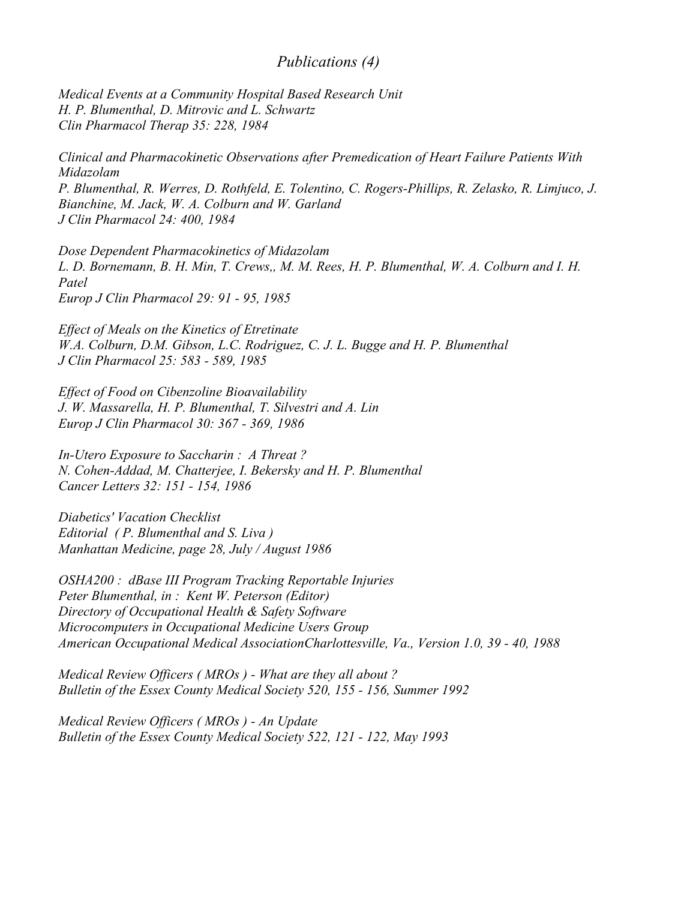### *Publications (4)*

*Medical Events at a Community Hospital Based Research Unit H. P. Blumenthal, D. Mitrovic and L. Schwartz Clin Pharmacol Therap 35: 228, 1984*

*Clinical and Pharmacokinetic Observations after Premedication of Heart Failure Patients With Midazolam P. Blumenthal, R. Werres, D. Rothfeld, E. Tolentino, C. Rogers-Phillips, R. Zelasko, R. Limjuco, J. Bianchine, M. Jack, W. A. Colburn and W. Garland J Clin Pharmacol 24: 400, 1984*

*Dose Dependent Pharmacokinetics of Midazolam L. D. Bornemann, B. H. Min, T. Crews,, M. M. Rees, H. P. Blumenthal, W. A. Colburn and I. H. Patel Europ J Clin Pharmacol 29: 91 - 95, 1985*

*Effect of Meals on the Kinetics of Etretinate W.A. Colburn, D.M. Gibson, L.C. Rodriguez, C. J. L. Bugge and H. P. Blumenthal J Clin Pharmacol 25: 583 - 589, 1985*

*Effect of Food on Cibenzoline Bioavailability J. W. Massarella, H. P. Blumenthal, T. Silvestri and A. Lin Europ J Clin Pharmacol 30: 367 - 369, 1986*

*In-Utero Exposure to Saccharin : A Threat ? N. Cohen-Addad, M. Chatterjee, I. Bekersky and H. P. Blumenthal Cancer Letters 32: 151 - 154, 1986*

*Diabetics' Vacation Checklist Editorial ( P. Blumenthal and S. Liva ) Manhattan Medicine, page 28, July / August 1986*

*OSHA200 : dBase III Program Tracking Reportable Injuries Peter Blumenthal, in : Kent W. Peterson (Editor) Directory of Occupational Health & Safety Software Microcomputers in Occupational Medicine Users Group American Occupational Medical AssociationCharlottesville, Va., Version 1.0, 39 - 40, 1988*

*Medical Review Officers ( MROs ) - What are they all about ? Bulletin of the Essex County Medical Society 520, 155 - 156, Summer 1992*

*Medical Review Officers ( MROs ) - An Update Bulletin of the Essex County Medical Society 522, 121 - 122, May 1993*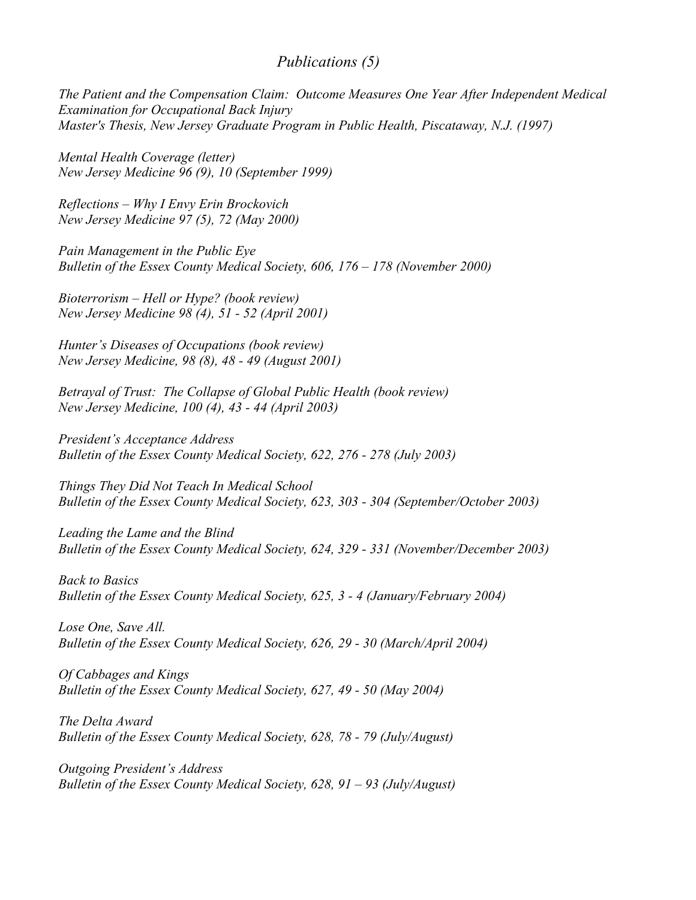# *Publications (5)*

*The Patient and the Compensation Claim: Outcome Measures One Year After Independent Medical Examination for Occupational Back Injury Master's Thesis, New Jersey Graduate Program in Public Health, Piscataway, N.J. (1997)*

*Mental Health Coverage (letter) New Jersey Medicine 96 (9), 10 (September 1999)*

*Reflections – Why I Envy Erin Brockovich New Jersey Medicine 97 (5), 72 (May 2000)*

*Pain Management in the Public Eye Bulletin of the Essex County Medical Society, 606, 176 – 178 (November 2000)*

*Bioterrorism – Hell or Hype? (book review) New Jersey Medicine 98 (4), 51 - 52 (April 2001)*

*Hunter's Diseases of Occupations (book review) New Jersey Medicine, 98 (8), 48 - 49 (August 2001)*

*Betrayal of Trust: The Collapse of Global Public Health (book review) New Jersey Medicine, 100 (4), 43 - 44 (April 2003)*

*President's Acceptance Address Bulletin of the Essex County Medical Society, 622, 276 - 278 (July 2003)*

*Things They Did Not Teach In Medical School Bulletin of the Essex County Medical Society, 623, 303 - 304 (September/October 2003)*

*Leading the Lame and the Blind Bulletin of the Essex County Medical Society, 624, 329 - 331 (November/December 2003)*

*Back to Basics Bulletin of the Essex County Medical Society, 625, 3 - 4 (January/February 2004)*

*Lose One, Save All. Bulletin of the Essex County Medical Society, 626, 29 - 30 (March/April 2004)*

*Of Cabbages and Kings Bulletin of the Essex County Medical Society, 627, 49 - 50 (May 2004)*

*The Delta Award Bulletin of the Essex County Medical Society, 628, 78 - 79 (July/August)*

*Outgoing President's Address Bulletin of the Essex County Medical Society, 628, 91 – 93 (July/August)*